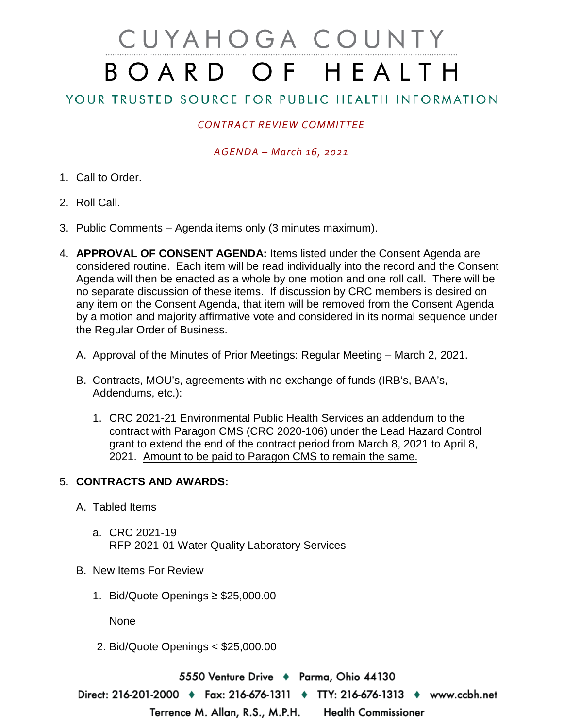# CUYAHOGA COUNTY BOARD OF HEALTH

# YOUR TRUSTED SOURCE FOR PUBLIC HEALTH INFORMATION

## *CONTRACT REVIEW COMMITTEE*

#### *AGENDA – March 16, 2021*

- 1. Call to Order.
- 2. Roll Call.
- 3. Public Comments Agenda items only (3 minutes maximum).
- 4. **APPROVAL OF CONSENT AGENDA:** Items listed under the Consent Agenda are considered routine. Each item will be read individually into the record and the Consent Agenda will then be enacted as a whole by one motion and one roll call. There will be no separate discussion of these items. If discussion by CRC members is desired on any item on the Consent Agenda, that item will be removed from the Consent Agenda by a motion and majority affirmative vote and considered in its normal sequence under the Regular Order of Business.
	- A. Approval of the Minutes of Prior Meetings: Regular Meeting March 2, 2021.
	- B. Contracts, MOU's, agreements with no exchange of funds (IRB's, BAA's, Addendums, etc.):
		- 1. CRC 2021-21 Environmental Public Health Services an addendum to the contract with Paragon CMS (CRC 2020-106) under the Lead Hazard Control grant to extend the end of the contract period from March 8, 2021 to April 8, 2021. Amount to be paid to Paragon CMS to remain the same.

### 5. **CONTRACTS AND AWARDS:**

- A. Tabled Items
	- a. CRC 2021-19 RFP 2021-01 Water Quality Laboratory Services
- B. New Items For Review
	- 1. Bid/Quote Openings ≥ \$25,000.00

None

2. Bid/Quote Openings < \$25,000.00

5550 Venture Drive ♦ Parma, Ohio 44130

Direct: 216-201-2000 ♦ Fax: 216-676-1311 ♦ TTY: 216-676-1313 ♦ www.ccbh.net Terrence M. Allan, R.S., M.P.H. **Health Commissioner**